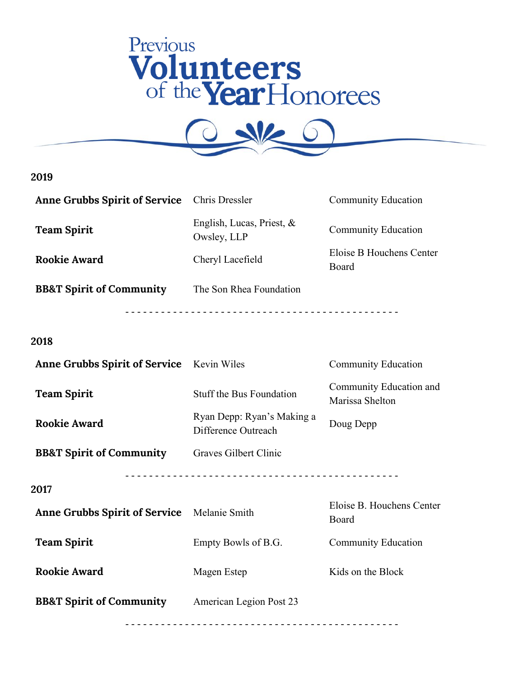



| Anne Grubbs Spirit of Service Chris Dressler |                                             | <b>Community Education</b>        |
|----------------------------------------------|---------------------------------------------|-----------------------------------|
| <b>Team Spirit</b>                           | English, Lucas, Priest, $\&$<br>Owsley, LLP | <b>Community Education</b>        |
| <b>Rookie Award</b>                          | Cheryl Lacefield                            | Eloise B Houchens Center<br>Board |
| <b>BB&amp;T Spirit of Community</b>          | The Son Rhea Foundation                     |                                   |
|                                              |                                             |                                   |

## **2018**

| <b>Anne Grubbs Spirit of Service</b> Kevin Wiles   |                                                   | <b>Community Education</b>                 |
|----------------------------------------------------|---------------------------------------------------|--------------------------------------------|
| <b>Team Spirit</b>                                 | Stuff the Bus Foundation                          | Community Education and<br>Marissa Shelton |
| <b>Rookie Award</b>                                | Ryan Depp: Ryan's Making a<br>Difference Outreach | Doug Depp                                  |
| <b>BB&amp;T Spirit of Community</b>                | Graves Gilbert Clinic                             |                                            |
| 2017                                               |                                                   |                                            |
| <b>Anne Grubbs Spirit of Service</b> Melanie Smith |                                                   | Eloise B. Houchens Center<br>Board         |
| <b>Team Spirit</b>                                 | Empty Bowls of B.G.                               | <b>Community Education</b>                 |
| <b>Rookie Award</b>                                | Magen Estep                                       | Kids on the Block                          |
| <b>BB&amp;T Spirit of Community</b>                | American Legion Post 23                           |                                            |
|                                                    |                                                   |                                            |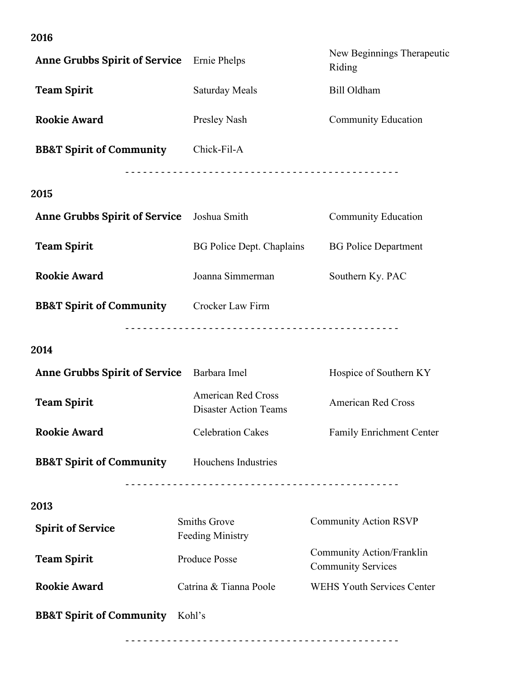| <b>Anne Grubbs Spirit of Service</b>       | Ernie Phelps                                              | New Beginnings Therapeutic<br>Riding                   |
|--------------------------------------------|-----------------------------------------------------------|--------------------------------------------------------|
| <b>Team Spirit</b>                         | <b>Saturday Meals</b>                                     | Bill Oldham                                            |
| <b>Rookie Award</b>                        | Presley Nash                                              | <b>Community Education</b>                             |
| <b>BB&amp;T Spirit of Community</b>        | Chick-Fil-A                                               |                                                        |
| 2015                                       |                                                           |                                                        |
| <b>Anne Grubbs Spirit of Service</b>       | Joshua Smith                                              | <b>Community Education</b>                             |
| <b>Team Spirit</b>                         | BG Police Dept. Chaplains                                 | <b>BG Police Department</b>                            |
| <b>Rookie Award</b>                        | Joanna Simmerman                                          | Southern Ky. PAC                                       |
| <b>BB&amp;T Spirit of Community</b>        | Crocker Law Firm                                          |                                                        |
| 2014                                       |                                                           |                                                        |
| Anne Grubbs Spirit of Service Barbara Imel |                                                           | Hospice of Southern KY                                 |
| <b>Team Spirit</b>                         | <b>American Red Cross</b><br><b>Disaster Action Teams</b> | <b>American Red Cross</b>                              |
| <b>Rookie Award</b>                        | <b>Celebration Cakes</b>                                  | Family Enrichment Center                               |
| <b>BB&amp;T Spirit of Community</b>        | Houchens Industries                                       |                                                        |
| 2013                                       |                                                           |                                                        |
| <b>Spirit of Service</b>                   | <b>Smiths Grove</b><br><b>Feeding Ministry</b>            | <b>Community Action RSVP</b>                           |
| <b>Team Spirit</b>                         | <b>Produce Posse</b>                                      | Community Action/Franklin<br><b>Community Services</b> |
| <b>Rookie Award</b>                        | Catrina & Tianna Poole                                    | <b>WEHS Youth Services Center</b>                      |
| <b>BB&amp;T Spirit of Community</b>        | Kohl's                                                    |                                                        |
|                                            |                                                           |                                                        |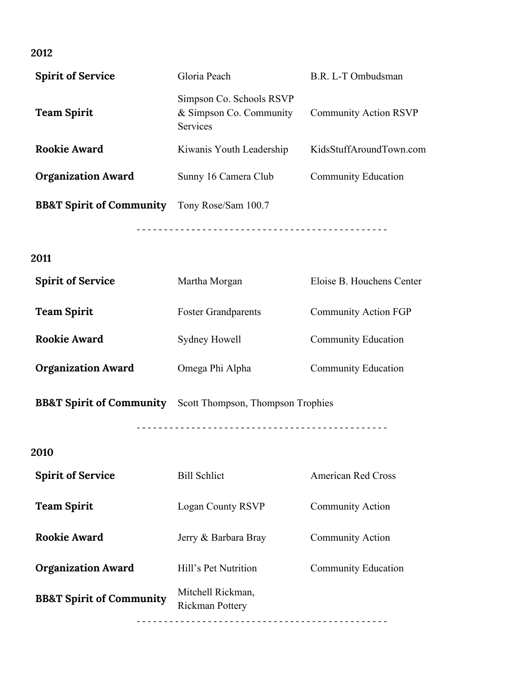| <b>Spirit of Service</b>            | Gloria Peach<br>B.R. L-T Ombudsman                                    |                              |
|-------------------------------------|-----------------------------------------------------------------------|------------------------------|
| <b>Team Spirit</b>                  | Simpson Co. Schools RSVP<br>& Simpson Co. Community<br>Services       | <b>Community Action RSVP</b> |
| <b>Rookie Award</b>                 | KidsStuffAroundTown.com<br>Kiwanis Youth Leadership                   |                              |
| <b>Organization Award</b>           | Sunny 16 Camera Club<br><b>Community Education</b>                    |                              |
| <b>BB&amp;T Spirit of Community</b> | Tony Rose/Sam 100.7                                                   |                              |
| 2011                                |                                                                       |                              |
| <b>Spirit of Service</b>            | Eloise B. Houchens Center<br>Martha Morgan                            |                              |
| <b>Team Spirit</b>                  | <b>Foster Grandparents</b>                                            | <b>Community Action FGP</b>  |
| <b>Rookie Award</b>                 | Sydney Howell                                                         | Community Education          |
| <b>Organization Award</b>           | Omega Phi Alpha                                                       | <b>Community Education</b>   |
|                                     | <b>BB&amp;T Spirit of Community</b> Scott Thompson, Thompson Trophies |                              |
| 2010                                |                                                                       |                              |
| <b>Spirit of Service</b>            | <b>Bill Schlict</b>                                                   | <b>American Red Cross</b>    |
| <b>Team Spirit</b>                  | <b>Logan County RSVP</b>                                              | Community Action             |
| <b>Rookie Award</b>                 | Jerry & Barbara Bray                                                  | Community Action             |
| <b>Organization Award</b>           | Hill's Pet Nutrition<br><b>Community Education</b>                    |                              |
| <b>BB&amp;T Spirit of Community</b> | Mitchell Rickman,<br>Rickman Pottery                                  |                              |

- - - - - - - - - - - - - - - - - - - - - - - - - - - - - - - - - - - - - - - - - - - - - -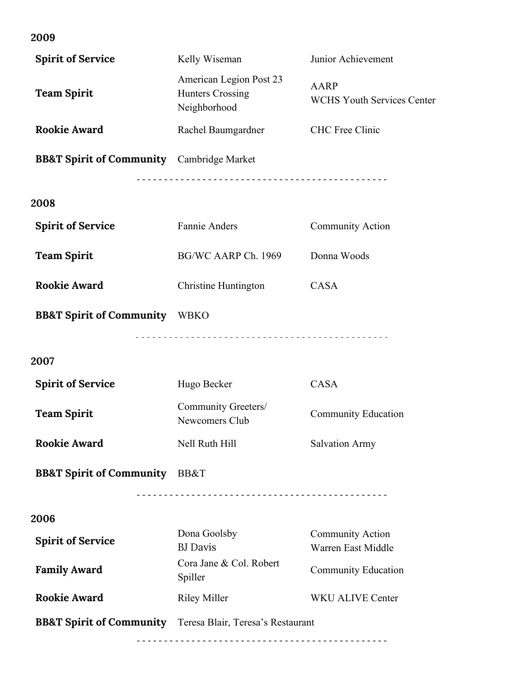| <b>Spirit of Service</b>                                              | Kelly Wiseman                                                      | Junior Achievement                               |
|-----------------------------------------------------------------------|--------------------------------------------------------------------|--------------------------------------------------|
| <b>Team Spirit</b>                                                    | American Legion Post 23<br><b>Hunters Crossing</b><br>Neighborhood | <b>AARP</b><br><b>WCHS Youth Services Center</b> |
| <b>Rookie Award</b>                                                   | Rachel Baumgardner<br><b>CHC</b> Free Clinic                       |                                                  |
| <b>BB&amp;T Spirit of Community</b> Cambridge Market                  |                                                                    |                                                  |
| 2008                                                                  |                                                                    |                                                  |
| <b>Spirit of Service</b>                                              | Fannie Anders                                                      | <b>Community Action</b>                          |
| <b>Team Spirit</b>                                                    | BG/WC AARP Ch. 1969                                                | Donna Woods                                      |
| <b>Rookie Award</b>                                                   | Christine Huntington                                               | <b>CASA</b>                                      |
| <b>BB&amp;T Spirit of Community</b> WBKO                              |                                                                    |                                                  |
| 2007                                                                  |                                                                    |                                                  |
| <b>Spirit of Service</b>                                              | Hugo Becker                                                        | <b>CASA</b>                                      |
| <b>Team Spirit</b>                                                    | Community Greeters/<br>Newcomers Club                              | <b>Community Education</b>                       |
| <b>Rookie Award</b>                                                   | Nell Ruth Hill                                                     | <b>Salvation Army</b>                            |
| <b>BB&amp;T Spirit of Community</b> BB&T                              |                                                                    |                                                  |
| 2006                                                                  |                                                                    |                                                  |
| <b>Spirit of Service</b>                                              | Dona Goolsby<br><b>BJ</b> Davis                                    | Community Action<br>Warren East Middle           |
| <b>Family Award</b>                                                   | Cora Jane & Col. Robert<br>Spiller                                 | <b>Community Education</b>                       |
| <b>Rookie Award</b>                                                   | <b>Riley Miller</b>                                                | <b>WKU ALIVE Center</b>                          |
| <b>BB&amp;T Spirit of Community</b> Teresa Blair, Teresa's Restaurant |                                                                    |                                                  |
|                                                                       |                                                                    |                                                  |